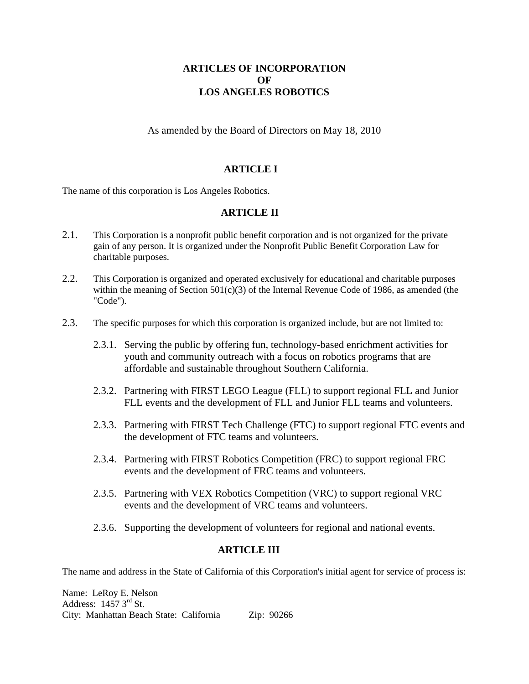# **ARTICLES OF INCORPORATION OF LOS ANGELES ROBOTICS**

As amended by the Board of Directors on May 18, 2010

# **ARTICLE I**

The name of this corporation is Los Angeles Robotics.

### **ARTICLE II**

- 2.1. This Corporation is a nonprofit public benefit corporation and is not organized for the private gain of any person. It is organized under the Nonprofit Public Benefit Corporation Law for charitable purposes.
- 2.2. This Corporation is organized and operated exclusively for educational and charitable purposes within the meaning of Section  $501(c)(3)$  of the Internal Revenue Code of 1986, as amended (the "Code").
- 2.3. The specific purposes for which this corporation is organized include, but are not limited to:
	- 2.3.1. Serving the public by offering fun, technology-based enrichment activities for youth and community outreach with a focus on robotics programs that are affordable and sustainable throughout Southern California.
	- 2.3.2. Partnering with FIRST LEGO League (FLL) to support regional FLL and Junior FLL events and the development of FLL and Junior FLL teams and volunteers.
	- 2.3.3. Partnering with FIRST Tech Challenge (FTC) to support regional FTC events and the development of FTC teams and volunteers.
	- 2.3.4. Partnering with FIRST Robotics Competition (FRC) to support regional FRC events and the development of FRC teams and volunteers.
	- 2.3.5. Partnering with VEX Robotics Competition (VRC) to support regional VRC events and the development of VRC teams and volunteers.
	- 2.3.6. Supporting the development of volunteers for regional and national events.

#### **ARTICLE III**

The name and address in the State of California of this Corporation's initial agent for service of process is:

Name: LeRoy E. Nelson Address:  $1457.3<sup>rd</sup>$  St. City: Manhattan Beach State: California Zip: 90266